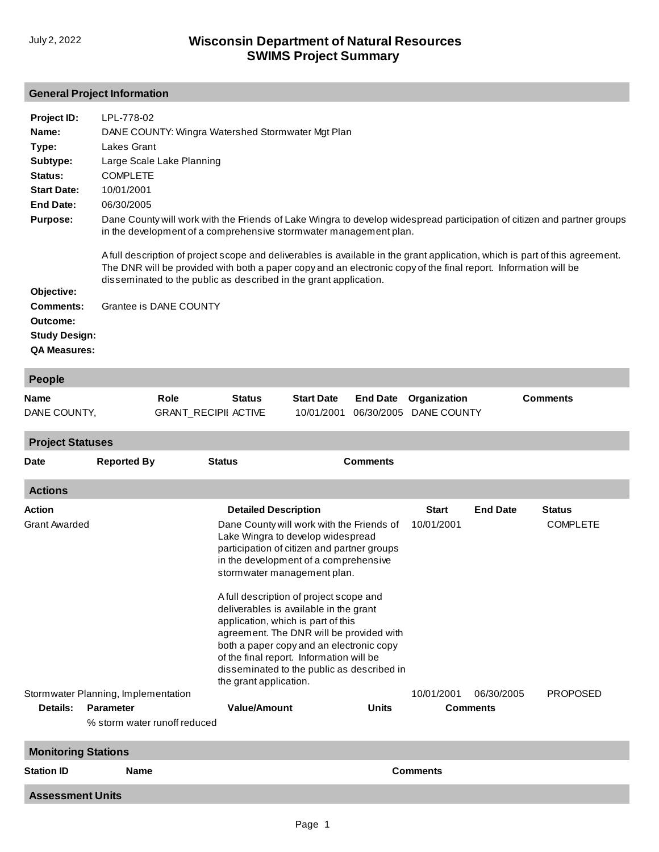## **General Project Information**

| Project ID:          | LPL-778-02                                                                                                                                                                                                                                                                                                           |
|----------------------|----------------------------------------------------------------------------------------------------------------------------------------------------------------------------------------------------------------------------------------------------------------------------------------------------------------------|
| Name:                | DANE COUNTY: Wingra Watershed Stormwater Mgt Plan                                                                                                                                                                                                                                                                    |
| Type:                | Lakes Grant                                                                                                                                                                                                                                                                                                          |
| Subtype:             | Large Scale Lake Planning                                                                                                                                                                                                                                                                                            |
| Status:              | <b>COMPLETE</b>                                                                                                                                                                                                                                                                                                      |
| <b>Start Date:</b>   | 10/01/2001                                                                                                                                                                                                                                                                                                           |
| End Date:            | 06/30/2005                                                                                                                                                                                                                                                                                                           |
| <b>Purpose:</b>      | Dane County will work with the Friends of Lake Wingra to develop widespread participation of citizen and partner groups<br>in the development of a comprehensive stormwater management plan.                                                                                                                         |
|                      | A full description of project scope and deliverables is available in the grant application, which is part of this agreement.<br>The DNR will be provided with both a paper copy and an electronic copy of the final report. Information will be<br>disseminated to the public as described in the grant application. |
| Objective:           |                                                                                                                                                                                                                                                                                                                      |
| <b>Comments:</b>     | Grantee is DANE COUNTY                                                                                                                                                                                                                                                                                               |
| Outcome:             |                                                                                                                                                                                                                                                                                                                      |
| <b>Study Design:</b> |                                                                                                                                                                                                                                                                                                                      |
| <b>QA Measures:</b>  |                                                                                                                                                                                                                                                                                                                      |

| <b>People</b>              |                                     |                             |                                                                                                                                                                                                                                                                                                                                                                                                                                                                                                                                              |                 |                 |                 |                 |  |
|----------------------------|-------------------------------------|-----------------------------|----------------------------------------------------------------------------------------------------------------------------------------------------------------------------------------------------------------------------------------------------------------------------------------------------------------------------------------------------------------------------------------------------------------------------------------------------------------------------------------------------------------------------------------------|-----------------|-----------------|-----------------|-----------------|--|
| <b>Name</b>                |                                     | Role                        | <b>Status</b><br><b>Start Date</b>                                                                                                                                                                                                                                                                                                                                                                                                                                                                                                           | <b>End Date</b> | Organization    |                 | <b>Comments</b> |  |
| DANE COUNTY,               |                                     | <b>GRANT_RECIPII ACTIVE</b> | 10/01/2001                                                                                                                                                                                                                                                                                                                                                                                                                                                                                                                                   | 06/30/2005      | DANE COUNTY     |                 |                 |  |
| <b>Project Statuses</b>    |                                     |                             |                                                                                                                                                                                                                                                                                                                                                                                                                                                                                                                                              |                 |                 |                 |                 |  |
| Date                       | <b>Reported By</b>                  |                             | <b>Comments</b><br><b>Status</b>                                                                                                                                                                                                                                                                                                                                                                                                                                                                                                             |                 |                 |                 |                 |  |
| <b>Actions</b>             |                                     |                             |                                                                                                                                                                                                                                                                                                                                                                                                                                                                                                                                              |                 |                 |                 |                 |  |
| Action                     |                                     |                             | <b>Detailed Description</b>                                                                                                                                                                                                                                                                                                                                                                                                                                                                                                                  |                 | <b>Start</b>    | <b>End Date</b> | <b>Status</b>   |  |
| <b>Grant Awarded</b>       |                                     |                             | Dane County will work with the Friends of<br>Lake Wingra to develop widespread<br>participation of citizen and partner groups<br>in the development of a comprehensive<br>stormwater management plan.<br>A full description of project scope and<br>deliverables is available in the grant<br>application, which is part of this<br>agreement. The DNR will be provided with<br>both a paper copy and an electronic copy<br>of the final report. Information will be<br>disseminated to the public as described in<br>the grant application. |                 | 10/01/2001      |                 | <b>COMPLETE</b> |  |
|                            | Stormwater Planning, Implementation |                             |                                                                                                                                                                                                                                                                                                                                                                                                                                                                                                                                              |                 | 10/01/2001      | 06/30/2005      | <b>PROPOSED</b> |  |
| Details:                   | <b>Parameter</b>                    |                             | Value/Amount                                                                                                                                                                                                                                                                                                                                                                                                                                                                                                                                 |                 | <b>Comments</b> |                 |                 |  |
|                            | % storm water runoff reduced        |                             |                                                                                                                                                                                                                                                                                                                                                                                                                                                                                                                                              |                 |                 |                 |                 |  |
| <b>Monitoring Stations</b> |                                     |                             |                                                                                                                                                                                                                                                                                                                                                                                                                                                                                                                                              |                 |                 |                 |                 |  |
| <b>Station ID</b>          | <b>Name</b>                         |                             | <b>Comments</b>                                                                                                                                                                                                                                                                                                                                                                                                                                                                                                                              |                 |                 |                 |                 |  |
| <b>Assessment Units</b>    |                                     |                             |                                                                                                                                                                                                                                                                                                                                                                                                                                                                                                                                              |                 |                 |                 |                 |  |